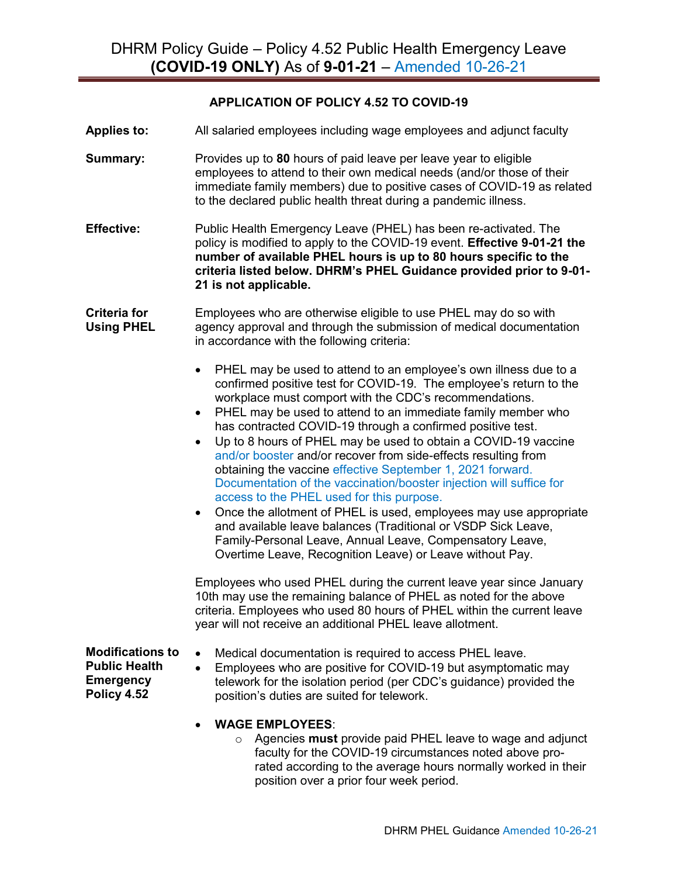## **APPLICATION OF POLICY 4.52 TO COVID-19**

**Applies to:** All salaried employees including wage employees and adjunct faculty

- **Summary:** Provides up to 80 hours of paid leave per leave year to eligible employees to attend to their own medical needs (and/or those of their immediate family members) due to positive cases of COVID-19 as related to the declared public health threat during a pandemic illness.
- **Effective:** Public Health Emergency Leave (PHEL) has been re-activated. The policy is modified to apply to the COVID-19 event. **Effective 9-01-21 the number of available PHEL hours is up to 80 hours specific to the criteria listed below. DHRM's PHEL Guidance provided prior to 9-01- 21 is not applicable.**

**Criteria for Using PHEL** Employees who are otherwise eligible to use PHEL may do so with agency approval and through the submission of medical documentation in accordance with the following criteria:

- PHEL may be used to attend to an employee's own illness due to a confirmed positive test for COVID-19. The employee's return to the workplace must comport with the CDC's recommendations.
- PHEL may be used to attend to an immediate family member who has contracted COVID-19 through a confirmed positive test.
- Up to 8 hours of PHEL may be used to obtain a COVID-19 vaccine and/or booster and/or recover from side-effects resulting from obtaining the vaccine effective September 1, 2021 forward. Documentation of the vaccination/booster injection will suffice for access to the PHEL used for this purpose.
- Once the allotment of PHEL is used, employees may use appropriate and available leave balances (Traditional or VSDP Sick Leave, Family-Personal Leave, Annual Leave, Compensatory Leave, Overtime Leave, Recognition Leave) or Leave without Pay.

Employees who used PHEL during the current leave year since January 10th may use the remaining balance of PHEL as noted for the above criteria. Employees who used 80 hours of PHEL within the current leave year will not receive an additional PHEL leave allotment.

**Modifications to Public Health Emergency Policy 4.52**

- Medical documentation is required to access PHEL leave.
- Employees who are positive for COVID-19 but asymptomatic may telework for the isolation period (per CDC's guidance) provided the position's duties are suited for telework.
- **WAGE EMPLOYEES**:
	- o Agencies **must** provide paid PHEL leave to wage and adjunct faculty for the COVID-19 circumstances noted above prorated according to the average hours normally worked in their position over a prior four week period.